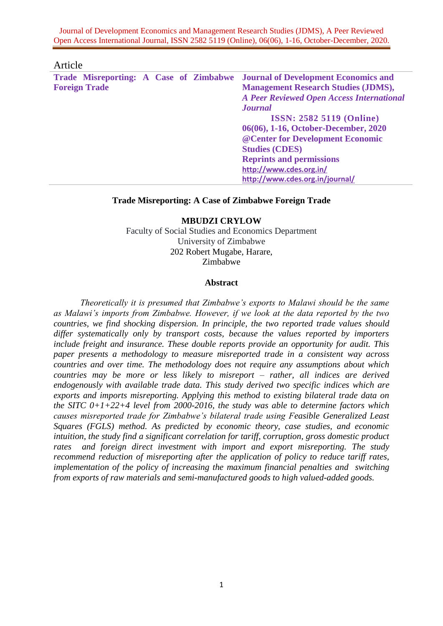#### Article

|                      |  |  | Trade Misreporting: A Case of Zimbabwe Journal of Development Economics and |
|----------------------|--|--|-----------------------------------------------------------------------------|
| <b>Foreign Trade</b> |  |  | <b>Management Research Studies (JDMS),</b>                                  |
|                      |  |  | <b>A Peer Reviewed Open Access International</b>                            |
|                      |  |  | <b>Journal</b>                                                              |
|                      |  |  | <b>ISSN: 2582 5119 (Online)</b>                                             |
|                      |  |  | 06(06), 1-16, October-December, 2020                                        |
|                      |  |  | @ Center for Development Economic                                           |
|                      |  |  | <b>Studies (CDES)</b>                                                       |
|                      |  |  | <b>Reprints and permissions</b>                                             |
|                      |  |  | http://www.cdes.org.in/                                                     |
|                      |  |  | http://www.cdes.org.in/journal/                                             |

## **Trade Misreporting: A Case of Zimbabwe Foreign Trade**

#### **MBUDZI CRYLOW**

Faculty of Social Studies and Economics Department University of Zimbabwe 202 Robert Mugabe, Harare, Zimbabwe

#### **Abstract**

*Theoretically it is presumed that Zimbabwe's exports to Malawi should be the same as Malawi's imports from Zimbabwe. However, if we look at the data reported by the two countries, we find shocking dispersion. In principle, the two reported trade values should differ systematically only by transport costs, because the values reported by importers include freight and insurance. These double reports provide an opportunity for audit. This paper presents a methodology to measure misreported trade in a consistent way across countries and over time. The methodology does not require any assumptions about which countries may be more or less likely to misreport – rather, all indices are derived endogenously with available trade data. This study derived two specific indices which are exports and imports misreporting. Applying this method to existing bilateral trade data on the SITC 0+1+22+4 level from 2000-2016, the study was able to determine factors which causes misreported trade for Zimbabwe's bilateral trade using Feasible Generalized Least Squares (FGLS) method. As predicted by economic theory, case studies, and economic intuition, the study find a significant correlation for tariff, corruption, gross domestic product rates and foreign direct investment with import and export misreporting. The study recommend reduction of misreporting after the application of policy to reduce tariff rates, implementation of the policy of increasing the maximum financial penalties and switching from exports of raw materials and semi-manufactured goods to high valued-added goods.*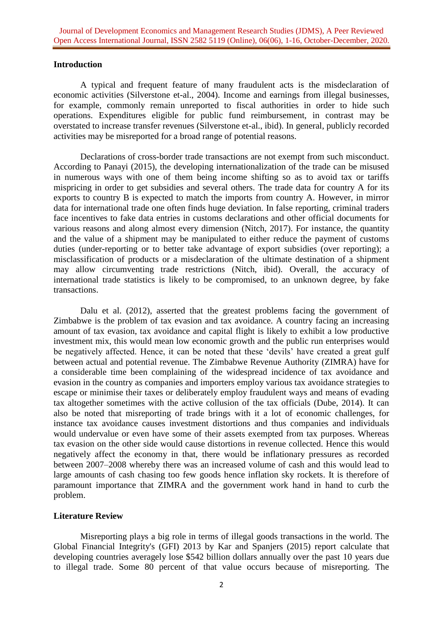## **Introduction**

A typical and frequent feature of many fraudulent acts is the misdeclaration of economic activities (Silverstone et-al., 2004). Income and earnings from illegal businesses, for example, commonly remain unreported to fiscal authorities in order to hide such operations. Expenditures eligible for public fund reimbursement, in contrast may be overstated to increase transfer revenues (Silverstone et-al., ibid). In general, publicly recorded activities may be misreported for a broad range of potential reasons.

Declarations of cross-border trade transactions are not exempt from such misconduct. According to Panayi (2015), the developing internationalization of the trade can be misused in numerous ways with one of them being income shifting so as to avoid tax or tariffs mispricing in order to get subsidies and several others. The trade data for country A for its exports to country B is expected to match the imports from country A. However, in mirror data for international trade one often finds huge deviation. In false reporting, criminal traders face incentives to fake data entries in customs declarations and other official documents for various reasons and along almost every dimension (Nitch, 2017). For instance, the quantity and the value of a shipment may be manipulated to either reduce the payment of customs duties (under-reporting or to better take advantage of export subsidies (over reporting); a misclassification of products or a misdeclaration of the ultimate destination of a shipment may allow circumventing trade restrictions (Nitch, ibid). Overall, the accuracy of international trade statistics is likely to be compromised, to an unknown degree, by fake transactions.

Dalu et al. (2012), asserted that the greatest problems facing the government of Zimbabwe is the problem of tax evasion and tax avoidance. A country facing an increasing amount of tax evasion, tax avoidance and capital flight is likely to exhibit a low productive investment mix, this would mean low economic growth and the public run enterprises would be negatively affected. Hence, it can be noted that these 'devils' have created a great gulf between actual and potential revenue. The Zimbabwe Revenue Authority (ZIMRA) have for a considerable time been complaining of the widespread incidence of tax avoidance and evasion in the country as companies and importers employ various tax avoidance strategies to escape or minimise their taxes or deliberately employ fraudulent ways and means of evading tax altogether sometimes with the active collusion of the tax officials (Dube, 2014). It can also be noted that misreporting of trade brings with it a lot of economic challenges, for instance tax avoidance causes investment distortions and thus companies and individuals would undervalue or even have some of their assets exempted from tax purposes. Whereas tax evasion on the other side would cause distortions in revenue collected. Hence this would negatively affect the economy in that, there would be inflationary pressures as recorded between 2007–2008 whereby there was an increased volume of cash and this would lead to large amounts of cash chasing too few goods hence inflation sky rockets. It is therefore of paramount importance that ZIMRA and the government work hand in hand to curb the problem.

## **Literature Review**

Misreporting plays a big role in terms of illegal goods transactions in the world. The Global Financial Integrity's (GFI) 2013 by Kar and Spanjers (2015) report calculate that developing countries averagely lose \$542 billion dollars annually over the past 10 years due to illegal trade. Some 80 percent of that value occurs because of misreporting. The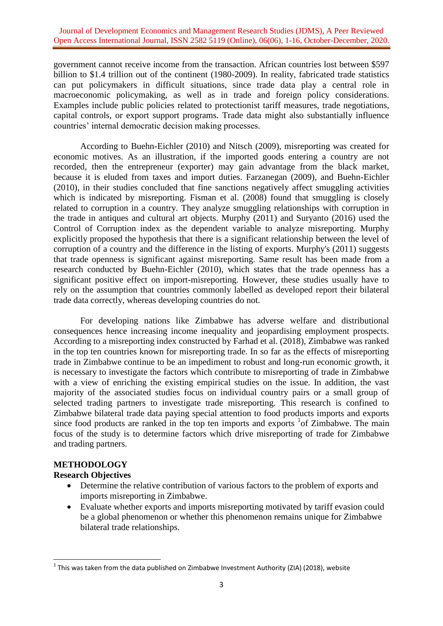government cannot receive income from the transaction. African countries lost between \$597 billion to \$1.4 trillion out of the continent (1980-2009). In reality, fabricated trade statistics can put policymakers in difficult situations, since trade data play a central role in macroeconomic policymaking, as well as in trade and foreign policy considerations. Examples include public policies related to protectionist tariff measures, trade negotiations, capital controls, or export support programs. Trade data might also substantially influence countries' internal democratic decision making processes.

According to Buehn-Eichler (2010) and Nitsch (2009), misreporting was created for economic motives. As an illustration, if the imported goods entering a country are not recorded, then the entrepreneur (exporter) may gain advantage from the black market, because it is eluded from taxes and import duties. Farzanegan (2009), and Buehn-Eichler (2010), in their studies concluded that fine sanctions negatively affect smuggling activities which is indicated by misreporting. Fisman et al. (2008) found that smuggling is closely related to corruption in a country. They analyze smuggling relationships with corruption in the trade in antiques and cultural art objects. Murphy (2011) and Suryanto (2016) used the Control of Corruption index as the dependent variable to analyze misreporting. Murphy explicitly proposed the hypothesis that there is a significant relationship between the level of corruption of a country and the difference in the listing of exports. Murphy's (2011) suggests that trade openness is significant against misreporting. Same result has been made from a research conducted by Buehn-Eichler (2010), which states that the trade openness has a significant positive effect on import-misreporting. However, these studies usually have to rely on the assumption that countries commonly labelled as developed report their bilateral trade data correctly, whereas developing countries do not.

For developing nations like Zimbabwe has adverse welfare and distributional consequences hence increasing income inequality and jeopardising employment prospects. According to a misreporting index constructed by Farhad et al. (2018), Zimbabwe was ranked in the top ten countries known for misreporting trade. In so far as the effects of misreporting trade in Zimbabwe continue to be an impediment to robust and long-run economic growth, it is necessary to investigate the factors which contribute to misreporting of trade in Zimbabwe with a view of enriching the existing empirical studies on the issue. In addition, the vast majority of the associated studies focus on individual country pairs or a small group of selected trading partners to investigate trade misreporting. This research is confined to Zimbabwe bilateral trade data paying special attention to food products imports and exports since food products are ranked in the top ten imports and exports  $1/2$  of Zimbabwe. The main focus of the study is to determine factors which drive misreporting of trade for Zimbabwe and trading partners.

### **METHODOLOGY**

**.** 

## **Research Objectives**

- Determine the relative contribution of various factors to the problem of exports and imports misreporting in Zimbabwe.
- Evaluate whether exports and imports misreporting motivated by tariff evasion could be a global phenomenon or whether this phenomenon remains unique for Zimbabwe bilateral trade relationships.

 $^{1}$  This was taken from the data published on Zimbabwe Investment Authority (ZIA) (2018), website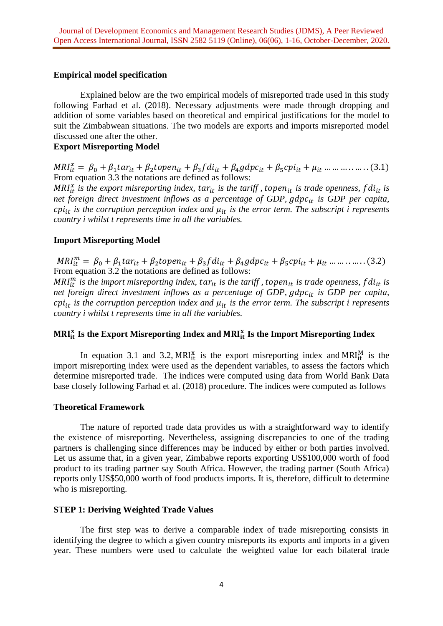## **Empirical model specification**

Explained below are the two empirical models of misreported trade used in this study following Farhad et al. (2018). Necessary adjustments were made through dropping and addition of some variables based on theoretical and empirical justifications for the model to suit the Zimbabwean situations. The two models are exports and imports misreported model discussed one after the other.

## **Export Misreporting Model**

 $MRI_{it}^x$ From equation 3.3 the notations are defined as follows:

 $MRI_{it}^{x}$  is the export misreporting index,  $tar_{it}$  is the tariff, topen<sub>it</sub> is trade openness, f di<sub>tt</sub> is *net foreign direct investment inflows as a percentage of GDP, is GDP per capita,*   $cpi_{it}$  is the corruption perception index and  $\mu_{it}$  is the error term. The subscript i represents *country i whilst t represents time in all the variables.*

## **Import Misreporting Model**

 $MRI_{it}^m$ From equation 3.2 the notations are defined as follows:

 $MR_{it}^{m}$  is the import misreporting index,  $tar_{it}$  is the tariff, topen<sub>it</sub> is trade openness, f di<sub>tt</sub> is *net foreign direct investment inflows as a percentage of GDP, gdpc<sub>it</sub> is GDP per capita,*  $cpi_{it}$  is the corruption perception index and  $\mu_{it}$  is the error term. The subscript i represents *country i whilst t represents time in all the variables.*

# MRI<sup>x</sup> Is the Export Misreporting Index and MRI<sup>x</sup><sub>it</sub> Is the Import Misreporting Index

In equation 3.1 and 3.2, MRI<sub>It</sub> is the export misreporting index and MRI<sub>It</sub> is the import misreporting index were used as the dependent variables, to assess the factors which determine misreported trade. The indices were computed using data from World Bank Data base closely following Farhad et al. (2018) procedure. The indices were computed as follows

## **Theoretical Framework**

The nature of reported trade data provides us with a straightforward way to identify the existence of misreporting. Nevertheless, assigning discrepancies to one of the trading partners is challenging since differences may be induced by either or both parties involved. Let us assume that, in a given year, Zimbabwe reports exporting US\$100,000 worth of food product to its trading partner say South Africa. However, the trading partner (South Africa) reports only US\$50,000 worth of food products imports. It is, therefore, difficult to determine who is misreporting.

#### **STEP 1: Deriving Weighted Trade Values**

The first step was to derive a comparable index of trade misreporting consists in identifying the degree to which a given country misreports its exports and imports in a given year. These numbers were used to calculate the weighted value for each bilateral trade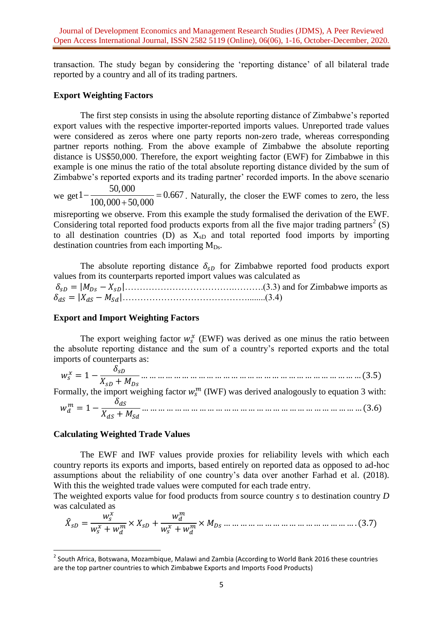transaction. The study began by considering the 'reporting distance' of all bilateral trade reported by a country and all of its trading partners.

## **Export Weighting Factors**

The first step consists in using the absolute reporting distance of Zimbabwe's reported export values with the respective importer-reported imports values. Unreported trade values were considered as zeros where one party reports non-zero trade, whereas corresponding partner reports nothing. From the above example of Zimbabwe the absolute reporting distance is US\$50,000. Therefore, the export weighting factor (EWF) for Zimbabwe in this example is one minus the ratio of the total absolute reporting distance divided by the sum of Zimbabwe's reported exports and its trading partner' recorded imports. In the above scenario

we get  $1 - \frac{50,000}{100,000 \times 50,000} = 0.667$  $\frac{100,000 + 50,000}{100,000 + 50,000}$  $-\frac{50,000}{100,000,000,000} = 0.6$  $^{+}$ . Naturally, the closer the EWF comes to zero, the less

misreporting we observe. From this example the study formalised the derivation of the EWF. Considering total reported food products exports from all the five major trading partners<sup>2</sup> (S) to all destination countries (D) as  $X_{sD}$  and total reported food imports by importing destination countries from each importing  $M_{Ds}$ .

The absolute reporting distance  $\delta_{sD}$  for Zimbabwe reported food products export values from its counterparts reported import values was calculated as ……………………………….……….(3.3) and for Zimbabwe imports as ……………………………………........(3.4)

## **Export and Import Weighting Factors**

The export weighing factor  $w_s^x$  (EWF) was derived as one minus the ratio between the absolute reporting distance and the sum of a country's reported exports and the total imports of counterparts as:

 $w_s^x = 1 - \frac{\delta}{\delta}$  $\boldsymbol{X}$  $\ddotsc$ Formally, the import weighing factor  $w_s^m$  (IWF) was derived analogously to equation 3 with:  $\delta$ <sub>dc</sub>

 

## **Calculating Weighted Trade Values**

**.** 

The EWF and IWF values provide proxies for reliability levels with which each country reports its exports and imports, based entirely on reported data as opposed to ad-hoc assumptions about the reliability of one country's data over another Farhad et al. (2018). With this the weighted trade values were computed for each trade entry.

The weighted exports value for food products from source country *s* to destination country *D* was calculated as

 

 $^{2}$  South Africa, Botswana, Mozambique, Malawi and Zambia (According to World Bank 2016 these countries are the top partner countries to which Zimbabwe Exports and Imports Food Products)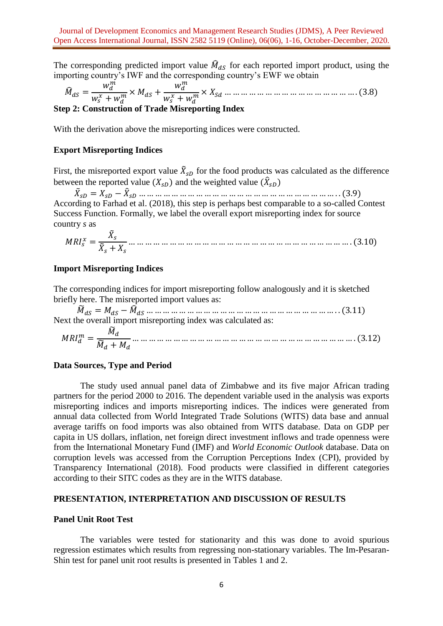The corresponding predicted import value  $\hat{M}_{dS}$  for each reported import product, using the importing country's IWF and the corresponding country's EWF we obtain

 

## **Step 2: Construction of Trade Misreporting Index**

With the derivation above the misreporting indices were constructed.

#### **Export Misreporting Indices**

First, the misreported export value  $\tilde{X}_{sD}$  for the food products was calculated as the difference between the reported value  $(X_{sD})$  and the weighted value  $(\hat{X}_s)$ 

 $\ddot{X}_{SD} = X_{SD} - \ddot{X}_{S}$ According to Farhad et al. (2018), this step is perhaps best comparable to a so-called Contest Success Function. Formally, we label the overall export misreporting index for source country *s* as

 

#### **Import Misreporting Indices**

The corresponding indices for import misreporting follow analogously and it is sketched briefly here. The misreported import values as:

 Next the overall import misreporting index was calculated as:

 

#### **Data Sources, Type and Period**

The study used annual panel data of Zimbabwe and its five major African trading partners for the period 2000 to 2016. The dependent variable used in the analysis was exports misreporting indices and imports misreporting indices. The indices were generated from annual data collected from World Integrated Trade Solutions (WITS) data base and annual average tariffs on food imports was also obtained from WITS database. Data on GDP per capita in US dollars, inflation, net foreign direct investment inflows and trade openness were from the International Monetary Fund (IMF) and *World Economic Outlook* database. Data on corruption levels was accessed from the Corruption Perceptions Index (CPI), provided by Transparency International (2018). Food products were classified in different categories according to their SITC codes as they are in the WITS database.

#### **PRESENTATION, INTERPRETATION AND DISCUSSION OF RESULTS**

#### **Panel Unit Root Test**

The variables were tested for stationarity and this was done to avoid spurious regression estimates which results from regressing non-stationary variables. The Im-Pesaran-Shin test for panel unit root results is presented in Tables 1 and 2.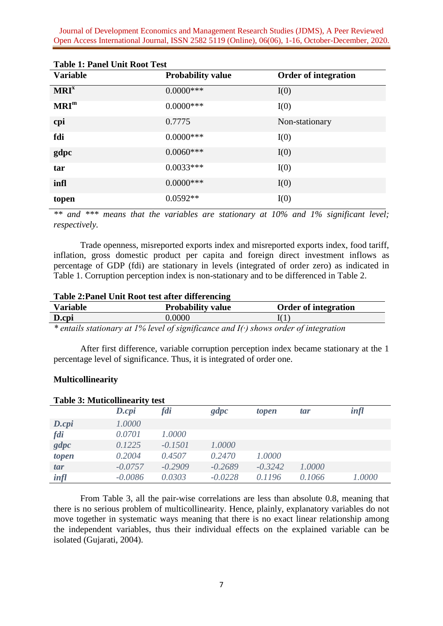| <b>Table 1: Panel Unit Root Test</b> |                          |                             |  |  |  |
|--------------------------------------|--------------------------|-----------------------------|--|--|--|
| <b>Variable</b>                      | <b>Probability value</b> | <b>Order of integration</b> |  |  |  |
| MRI <sup>x</sup>                     | $0.0000$ ***             | I(0)                        |  |  |  |
| MRI <sup>m</sup>                     | $0.0000$ ***             | I(0)                        |  |  |  |
| cpi                                  | 0.7775                   | Non-stationary              |  |  |  |
| fdi                                  | $0.0000$ ***             | I(0)                        |  |  |  |
| gdpc                                 | $0.0060***$              | I(0)                        |  |  |  |
| tar                                  | $0.0033***$              | I(0)                        |  |  |  |
| infl                                 | $0.0000$ ***             | I(0)                        |  |  |  |
| topen                                | $0.0592**$               | I(0)                        |  |  |  |

*\*\* and \*\*\* means that the variables are stationary at 10% and 1% significant level; respectively.*

Trade openness, misreported exports index and misreported exports index, food tariff, inflation, gross domestic product per capita and foreign direct investment inflows as percentage of GDP (fdi) are stationary in levels (integrated of order zero) as indicated in Table 1. Corruption perception index is non-stationary and to be differenced in Table 2.

| Table 2: Panel Unit Root test after differencing |                          |                             |  |  |
|--------------------------------------------------|--------------------------|-----------------------------|--|--|
| <b>Variable</b>                                  | <b>Probability value</b> | <b>Order of integration</b> |  |  |
| D.cpi                                            | 0.0000                   |                             |  |  |
|                                                  |                          |                             |  |  |

*\* entails stationary at 1% level of significance and I(∙) shows order of integration*

After first difference, variable corruption perception index became stationary at the 1 percentage level of significance. Thus, it is integrated of order one.

#### **Multicollinearity**

| <b>Table 3: Muticollinearity test</b> |                |           |           |           |        |             |
|---------------------------------------|----------------|-----------|-----------|-----------|--------|-------------|
|                                       | $D.\text{cpi}$ | fdi       | gdpc      | topen     | tar    | $\int$ infl |
| $D.\text{cpi}$                        | 1.0000         |           |           |           |        |             |
| fdi                                   | 0.0701         | 1.0000    |           |           |        |             |
| gdpc                                  | 0.1225         | $-0.1501$ | 1.0000    |           |        |             |
| topen                                 | 0.2004         | 0.4507    | 0.2470    | 1.0000    |        |             |
| tar                                   | $-0.0757$      | $-0.2909$ | $-0.2689$ | $-0.3242$ | 1.0000 |             |
| infl                                  | $-0.0086$      | 0.0303    | $-0.0228$ | 0.1196    | 0.1066 | 1.0000      |

From Table 3, all the pair-wise correlations are less than absolute 0.8, meaning that there is no serious problem of multicollinearity. Hence, plainly, explanatory variables do not move together in systematic ways meaning that there is no exact linear relationship among the independent variables, thus their individual effects on the explained variable can be isolated (Gujarati, 2004).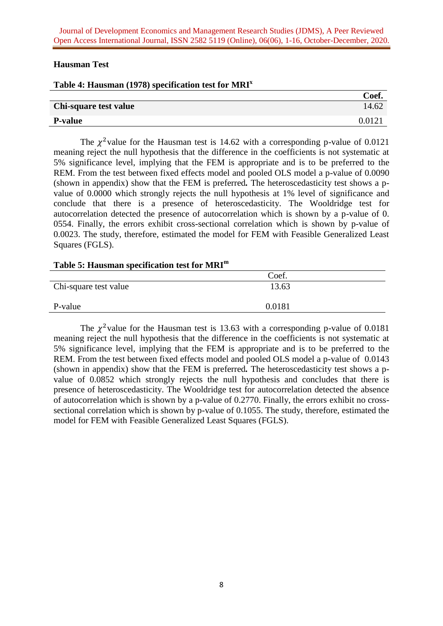## **Hausman Test**

| Table 4: Hausman (1978) specification test for $MRIx$ |       |
|-------------------------------------------------------|-------|
|                                                       | Coef. |
| Chi-square test value                                 | 14.62 |

# **P-value** 0.0121

The  $\chi^2$  value for the Hausman test is 14.62 with a corresponding p-value of 0.0121 meaning reject the null hypothesis that the difference in the coefficients is not systematic at 5% significance level, implying that the FEM is appropriate and is to be preferred to the REM. From the test between fixed effects model and pooled OLS model a p-value of 0.0090 (shown in appendix) show that the FEM is preferred*.* The heteroscedasticity test shows a pvalue of 0.0000 which strongly rejects the null hypothesis at 1% level of significance and conclude that there is a presence of heteroscedasticity. The Wooldridge test for autocorrelation detected the presence of autocorrelation which is shown by a p-value of 0. 0554. Finally, the errors exhibit cross-sectional correlation which is shown by p-value of 0.0023. The study, therefore, estimated the model for FEM with Feasible Generalized Least Squares (FGLS).

# **Table 5: Hausman specification test for MRI<sup>m</sup>**

|                       | Coef.  |  |
|-----------------------|--------|--|
| Chi-square test value | 13.63  |  |
| P-value               | 0.0181 |  |

The  $\chi^2$  value for the Hausman test is 13.63 with a corresponding p-value of 0.0181 meaning reject the null hypothesis that the difference in the coefficients is not systematic at 5% significance level, implying that the FEM is appropriate and is to be preferred to the REM. From the test between fixed effects model and pooled OLS model a p-value of 0.0143 (shown in appendix) show that the FEM is preferred*.* The heteroscedasticity test shows a pvalue of 0.0852 which strongly rejects the null hypothesis and concludes that there is presence of heteroscedasticity. The Wooldridge test for autocorrelation detected the absence of autocorrelation which is shown by a p-value of 0.2770. Finally, the errors exhibit no crosssectional correlation which is shown by p-value of 0.1055. The study, therefore, estimated the model for FEM with Feasible Generalized Least Squares (FGLS).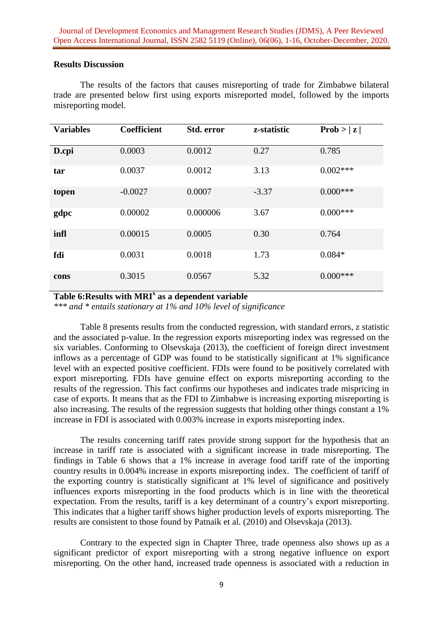## **Results Discussion**

The results of the factors that causes misreporting of trade for Zimbabwe bilateral trade are presented below first using exports misreported model, followed by the imports misreporting model.

| <b>Variables</b> | <b>Coefficient</b> | Std. error | z-statistic | Prob >  z  |
|------------------|--------------------|------------|-------------|------------|
| D.cpi            | 0.0003             | 0.0012     | 0.27        | 0.785      |
| tar              | 0.0037             | 0.0012     | 3.13        | $0.002***$ |
| topen            | $-0.0027$          | 0.0007     | $-3.37$     | $0.000***$ |
| gdpc             | 0.00002            | 0.000006   | 3.67        | $0.000***$ |
| infl             | 0.00015            | 0.0005     | 0.30        | 0.764      |
| fdi              | 0.0031             | 0.0018     | 1.73        | $0.084*$   |
| cons             | 0.3015             | 0.0567     | 5.32        | $0.000***$ |

**Table 6:Results with MRI<sup>x</sup> as a dependent variable** 

*\*\*\* and \* entails stationary at 1% and 10% level of significance*

Table 8 presents results from the conducted regression, with standard errors, z statistic and the associated p-value. In the regression exports misreporting index was regressed on the six variables. Conforming to Olsevskaja (2013), the coefficient of foreign direct investment inflows as a percentage of GDP was found to be statistically significant at 1% significance level with an expected positive coefficient. FDIs were found to be positively correlated with export misreporting. FDIs have genuine effect on exports misreporting according to the results of the regression. This fact confirms our hypotheses and indicates trade mispricing in case of exports. It means that as the FDI to Zimbabwe is increasing exporting misreporting is also increasing. The results of the regression suggests that holding other things constant a 1% increase in FDI is associated with 0.003% increase in exports misreporting index.

The results concerning tariff rates provide strong support for the hypothesis that an increase in tariff rate is associated with a significant increase in trade misreporting. The findings in Table 6 shows that a 1% increase in average food tariff rate of the importing country results in 0.004% increase in exports misreporting index. The coefficient of tariff of the exporting country is statistically significant at 1% level of significance and positively influences exports misreporting in the food products which is in line with the theoretical expectation. From the results, tariff is a key determinant of a country's export misreporting. This indicates that a higher tariff shows higher production levels of exports misreporting. The results are consistent to those found by Patnaik et al. (2010) and Olsevskaja (2013).

Contrary to the expected sign in Chapter Three, trade openness also shows up as a significant predictor of export misreporting with a strong negative influence on export misreporting. On the other hand, increased trade openness is associated with a reduction in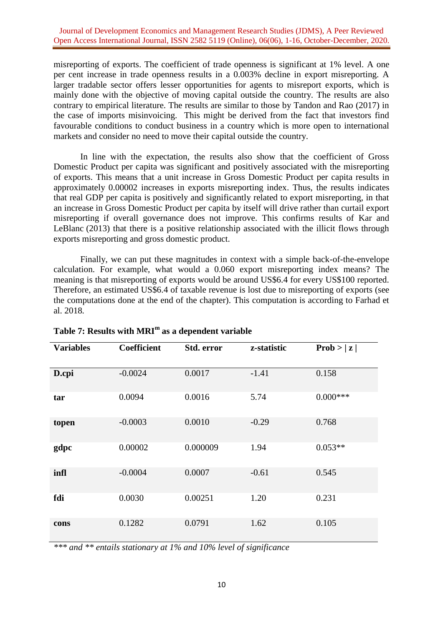misreporting of exports. The coefficient of trade openness is significant at 1% level. A one per cent increase in trade openness results in a 0.003% decline in export misreporting. A larger tradable sector offers lesser opportunities for agents to misreport exports, which is mainly done with the objective of moving capital outside the country. The results are also contrary to empirical literature. The results are similar to those by Tandon and Rao (2017) in the case of imports misinvoicing. This might be derived from the fact that investors find favourable conditions to conduct business in a country which is more open to international markets and consider no need to move their capital outside the country.

In line with the expectation, the results also show that the coefficient of Gross Domestic Product per capita was significant and positively associated with the misreporting of exports. This means that a unit increase in Gross Domestic Product per capita results in approximately 0.00002 increases in exports misreporting index. Thus, the results indicates that real GDP per capita is positively and significantly related to export misreporting, in that an increase in Gross Domestic Product per capita by itself will drive rather than curtail export misreporting if overall governance does not improve. This confirms results of Kar and LeBlanc (2013) that there is a positive relationship associated with the illicit flows through exports misreporting and gross domestic product.

Finally, we can put these magnitudes in context with a simple back-of-the-envelope calculation. For example, what would a 0.060 export misreporting index means? The meaning is that misreporting of exports would be around US\$6.4 for every US\$100 reported. Therefore, an estimated US\$6.4 of taxable revenue is lost due to misreporting of exports (see the computations done at the end of the chapter). This computation is according to Farhad et al. 2018*.*

| <b>Variables</b> | <b>Coefficient</b> | Std. error | z-statistic | Prob >  z  |
|------------------|--------------------|------------|-------------|------------|
| D.cpi            | $-0.0024$          | 0.0017     | $-1.41$     | 0.158      |
| tar              | 0.0094             | 0.0016     | 5.74        | $0.000***$ |
| topen            | $-0.0003$          | 0.0010     | $-0.29$     | 0.768      |
| gdpc             | 0.00002            | 0.000009   | 1.94        | $0.053**$  |
| infl             | $-0.0004$          | 0.0007     | $-0.61$     | 0.545      |
| fdi              | 0.0030             | 0.00251    | 1.20        | 0.231      |
| cons             | 0.1282             | 0.0791     | 1.62        | 0.105      |

# **Table 7: Results with MRI<sup>m</sup> as a dependent variable**

*\*\*\* and \*\* entails stationary at 1% and 10% level of significance*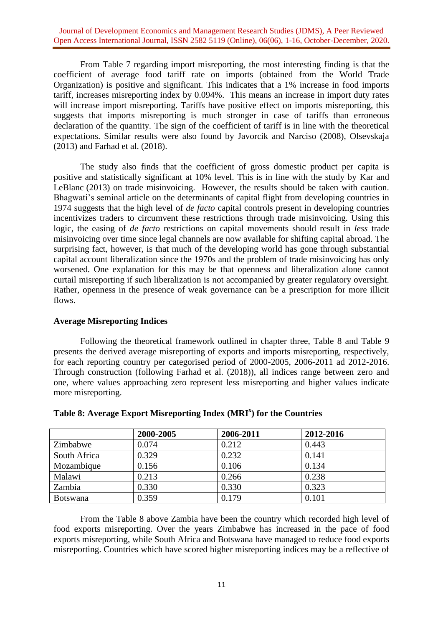From Table 7 regarding import misreporting, the most interesting finding is that the coefficient of average food tariff rate on imports (obtained from the World Trade Organization) is positive and significant. This indicates that a 1% increase in food imports tariff, increases misreporting index by 0.094%. This means an increase in import duty rates will increase import misreporting. Tariffs have positive effect on imports misreporting, this suggests that imports misreporting is much stronger in case of tariffs than erroneous declaration of the quantity. The sign of the coefficient of tariff is in line with the theoretical expectations. Similar results were also found by Javorcik and Narciso (2008), Olsevskaja (2013) and Farhad et al. (2018).

The study also finds that the coefficient of gross domestic product per capita is positive and statistically significant at 10% level. This is in line with the study by Kar and LeBlanc (2013) on trade misinvoicing. However, the results should be taken with caution. Bhagwati's seminal article on the determinants of capital flight from developing countries in 1974 suggests that the high level of *de facto* capital controls present in developing countries incentivizes traders to circumvent these restrictions through trade misinvoicing. Using this logic, the easing of *de facto* restrictions on capital movements should result in *less* trade misinvoicing over time since legal channels are now available for shifting capital abroad. The surprising fact, however, is that much of the developing world has gone through substantial capital account liberalization since the 1970s and the problem of trade misinvoicing has only worsened. One explanation for this may be that openness and liberalization alone cannot curtail misreporting if such liberalization is not accompanied by greater regulatory oversight. Rather, openness in the presence of weak governance can be a prescription for more illicit flows.

## **Average Misreporting Indices**

Following the theoretical framework outlined in chapter three, Table 8 and Table 9 presents the derived average misreporting of exports and imports misreporting, respectively, for each reporting country per categorised period of 2000-2005, 2006-2011 ad 2012-2016. Through construction (following Farhad et al. (2018)), all indices range between zero and one, where values approaching zero represent less misreporting and higher values indicate more misreporting.

|                 | 2000-2005 | 2006-2011 | 2012-2016 |
|-----------------|-----------|-----------|-----------|
| Zimbabwe        | 0.074     | 0.212     | 0.443     |
| South Africa    | 0.329     | 0.232     | 0.141     |
| Mozambique      | 0.156     | 0.106     | 0.134     |
| Malawi          | 0.213     | 0.266     | 0.238     |
| Zambia          | 0.330     | 0.330     | 0.323     |
| <b>Botswana</b> | 0.359     | 0.179     | 0.101     |

# **Table 8: Average Export Misreporting Index (MRI<sup>x</sup> ) for the Countries**

From the Table 8 above Zambia have been the country which recorded high level of food exports misreporting. Over the years Zimbabwe has increased in the pace of food exports misreporting, while South Africa and Botswana have managed to reduce food exports misreporting. Countries which have scored higher misreporting indices may be a reflective of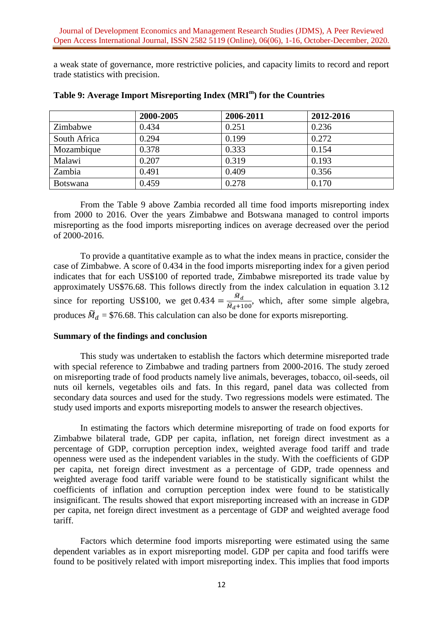a weak state of governance, more restrictive policies, and capacity limits to record and report trade statistics with precision.

|                 | 2000-2005 | 2006-2011 | 2012-2016 |
|-----------------|-----------|-----------|-----------|
| Zimbabwe        | 0.434     | 0.251     | 0.236     |
| South Africa    | 0.294     | 0.199     | 0.272     |
| Mozambique      | 0.378     | 0.333     | 0.154     |
| Malawi          | 0.207     | 0.319     | 0.193     |
| Zambia          | 0.491     | 0.409     | 0.356     |
| <b>Botswana</b> | 0.459     | 0.278     | 0.170     |

**Table 9: Average Import Misreporting Index (MRI<sup>m</sup> ) for the Countries** 

From the Table 9 above Zambia recorded all time food imports misreporting index from 2000 to 2016. Over the years Zimbabwe and Botswana managed to control imports misreporting as the food imports misreporting indices on average decreased over the period of 2000-2016.

To provide a quantitative example as to what the index means in practice, consider the case of Zimbabwe. A score of 0.434 in the food imports misreporting index for a given period indicates that for each US\$100 of reported trade, Zimbabwe misreported its trade value by approximately US\$76.68. This follows directly from the index calculation in equation 3.12 since for reporting US\$100, we get  $0.434 = \frac{\tilde{M}}{\tilde{M}}$  $\frac{m_d}{\tilde{M}_d+100}$ , which, after some simple algebra, produces  $\widetilde{M}_d$  = \$76.68. This calculation can also be done for exports misreporting.

#### **Summary of the findings and conclusion**

This study was undertaken to establish the factors which determine misreported trade with special reference to Zimbabwe and trading partners from 2000-2016. The study zeroed on misreporting trade of food products namely live animals, beverages, tobacco, oil-seeds, oil nuts oil kernels, vegetables oils and fats. In this regard, panel data was collected from secondary data sources and used for the study. Two regressions models were estimated. The study used imports and exports misreporting models to answer the research objectives.

In estimating the factors which determine misreporting of trade on food exports for Zimbabwe bilateral trade, GDP per capita, inflation, net foreign direct investment as a percentage of GDP, corruption perception index, weighted average food tariff and trade openness were used as the independent variables in the study. With the coefficients of GDP per capita, net foreign direct investment as a percentage of GDP, trade openness and weighted average food tariff variable were found to be statistically significant whilst the coefficients of inflation and corruption perception index were found to be statistically insignificant. The results showed that export misreporting increased with an increase in GDP per capita, net foreign direct investment as a percentage of GDP and weighted average food tariff.

Factors which determine food imports misreporting were estimated using the same dependent variables as in export misreporting model. GDP per capita and food tariffs were found to be positively related with import misreporting index. This implies that food imports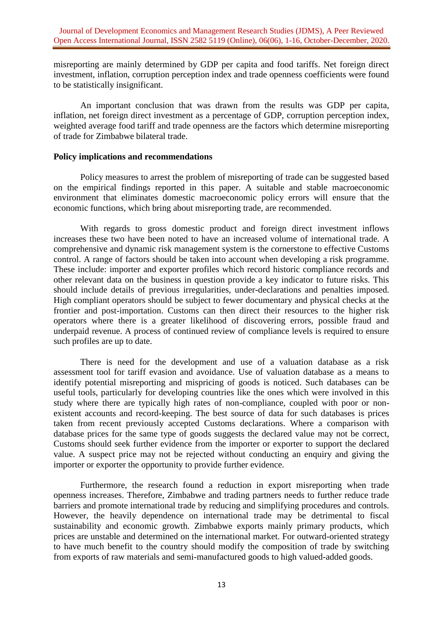misreporting are mainly determined by GDP per capita and food tariffs. Net foreign direct investment, inflation, corruption perception index and trade openness coefficients were found to be statistically insignificant.

An important conclusion that was drawn from the results was GDP per capita, inflation, net foreign direct investment as a percentage of GDP, corruption perception index, weighted average food tariff and trade openness are the factors which determine misreporting of trade for Zimbabwe bilateral trade.

#### **Policy implications and recommendations**

Policy measures to arrest the problem of misreporting of trade can be suggested based on the empirical findings reported in this paper. A suitable and stable macroeconomic environment that eliminates domestic macroeconomic policy errors will ensure that the economic functions, which bring about misreporting trade, are recommended.

With regards to gross domestic product and foreign direct investment inflows increases these two have been noted to have an increased volume of international trade. A comprehensive and dynamic risk management system is the cornerstone to effective Customs control. A range of factors should be taken into account when developing a risk programme. These include: importer and exporter profiles which record historic compliance records and other relevant data on the business in question provide a key indicator to future risks. This should include details of previous irregularities, under-declarations and penalties imposed. High compliant operators should be subject to fewer documentary and physical checks at the frontier and post-importation. Customs can then direct their resources to the higher risk operators where there is a greater likelihood of discovering errors, possible fraud and underpaid revenue. A process of continued review of compliance levels is required to ensure such profiles are up to date.

There is need for the development and use of a valuation database as a risk assessment tool for tariff evasion and avoidance. Use of valuation database as a means to identify potential misreporting and mispricing of goods is noticed. Such databases can be useful tools, particularly for developing countries like the ones which were involved in this study where there are typically high rates of non-compliance, coupled with poor or nonexistent accounts and record-keeping. The best source of data for such databases is prices taken from recent previously accepted Customs declarations. Where a comparison with database prices for the same type of goods suggests the declared value may not be correct, Customs should seek further evidence from the importer or exporter to support the declared value. A suspect price may not be rejected without conducting an enquiry and giving the importer or exporter the opportunity to provide further evidence.

Furthermore, the research found a reduction in export misreporting when trade openness increases. Therefore, Zimbabwe and trading partners needs to further reduce trade barriers and promote international trade by reducing and simplifying procedures and controls. However, the heavily dependence on international trade may be detrimental to fiscal sustainability and economic growth. Zimbabwe exports mainly primary products, which prices are unstable and determined on the international market. For outward-oriented strategy to have much benefit to the country should modify the composition of trade by switching from exports of raw materials and semi-manufactured goods to high valued-added goods.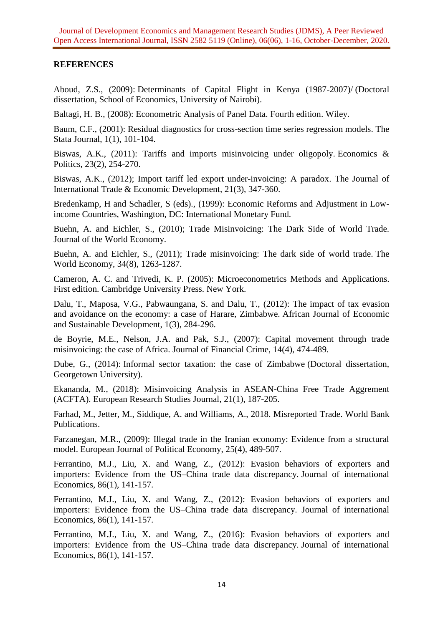# **REFERENCES**

Aboud, Z.S., (2009): Determinants of Capital Flight in Kenya (1987-2007)/ (Doctoral dissertation, School of Economics, University of Nairobi).

Baltagi, H. B., (2008): Econometric Analysis of Panel Data. Fourth edition. Wiley.

Baum, C.F., (2001): Residual diagnostics for cross-section time series regression models. The Stata Journal, 1(1), 101-104.

Biswas, A.K., (2011): Tariffs and imports misinvoicing under oligopoly. Economics & Politics, 23(2), 254-270.

Biswas, A.K., (2012); Import tariff led export under-invoicing: A paradox. The Journal of International Trade & Economic Development, 21(3), 347-360.

Bredenkamp, H and Schadler, S (eds)., (1999): Economic Reforms and Adjustment in Lowincome Countries, Washington, DC: International Monetary Fund.

Buehn, A. and Eichler, S., (2010); Trade Misinvoicing: The Dark Side of World Trade. Journal of the World Economy.

Buehn, A. and Eichler, S., (2011); Trade misinvoicing: The dark side of world trade. The World Economy, 34(8), 1263-1287.

Cameron, A. C. and Trivedi, K. P. (2005): Microeconometrics Methods and Applications. First edition. Cambridge University Press. New York.

Dalu, T., Maposa, V.G., Pabwaungana, S. and Dalu, T., (2012): The impact of tax evasion and avoidance on the economy: a case of Harare, Zimbabwe. African Journal of Economic and Sustainable Development, 1(3), 284-296.

de Boyrie, M.E., Nelson, J.A. and Pak, S.J., (2007): Capital movement through trade misinvoicing: the case of Africa. Journal of Financial Crime, 14(4), 474-489.

Dube, G., (2014): Informal sector taxation: the case of Zimbabwe (Doctoral dissertation, Georgetown University).

Ekananda, M., (2018): Misinvoicing Analysis in ASEAN-China Free Trade Aggrement (ACFTA). European Research Studies Journal, 21(1), 187-205.

Farhad, M., Jetter, M., Siddique, A. and Williams, A., 2018. Misreported Trade. World Bank Publications.

Farzanegan, M.R., (2009): Illegal trade in the Iranian economy: Evidence from a structural model. European Journal of Political Economy, 25(4), 489-507.

Ferrantino, M.J., Liu, X. and Wang, Z., (2012): Evasion behaviors of exporters and importers: Evidence from the US–China trade data discrepancy. Journal of international Economics, 86(1), 141-157.

Ferrantino, M.J., Liu, X. and Wang, Z., (2012): Evasion behaviors of exporters and importers: Evidence from the US–China trade data discrepancy. Journal of international Economics, 86(1), 141-157.

Ferrantino, M.J., Liu, X. and Wang, Z., (2016): Evasion behaviors of exporters and importers: Evidence from the US–China trade data discrepancy. Journal of international Economics, 86(1), 141-157.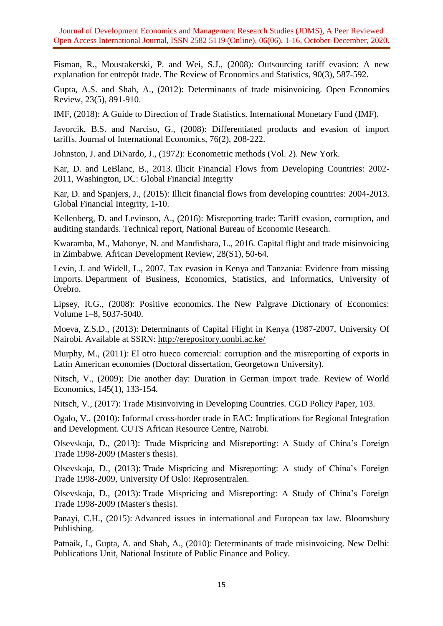Fisman, R., Moustakerski, P. and Wei, S.J., (2008): Outsourcing tariff evasion: A new explanation for entrepôt trade. The Review of Economics and Statistics, 90(3), 587-592.

Gupta, A.S. and Shah, A., (2012): Determinants of trade misinvoicing. Open Economies Review, 23(5), 891-910.

IMF, (2018): A Guide to Direction of Trade Statistics. International Monetary Fund (IMF).

Javorcik, B.S. and Narciso, G., (2008): Differentiated products and evasion of import tariffs. Journal of International Economics, 76(2), 208-222.

Johnston, J. and DiNardo, J., (1972): Econometric methods (Vol. 2). New York.

Kar, D. and LeBlanc, B., 2013. Illicit Financial Flows from Developing Countries: 2002- 2011, Washington, DC: Global Financial Integrity

Kar, D. and Spanjers, J., (2015): Illicit financial flows from developing countries: 2004-2013. Global Financial Integrity, 1-10.

Kellenberg, D. and Levinson, A., (2016): Misreporting trade: Tariff evasion, corruption, and auditing standards. Technical report, National Bureau of Economic Research.

Kwaramba, M., Mahonye, N. and Mandishara, L., 2016. Capital flight and trade misinvoicing in Zimbabwe. African Development Review, 28(S1), 50-64.

Levin, J. and Widell, L., 2007. Tax evasion in Kenya and Tanzania: Evidence from missing imports. Department of Business, Economics, Statistics, and Informatics, University of Örebro.

Lipsey, R.G., (2008): Positive economics. The New Palgrave Dictionary of Economics: Volume 1–8, 5037-5040.

Moeva, Z.S.D., (2013): Determinants of Capital Flight in Kenya (1987-2007, University Of Nairobi. Available at SSRN:<http://erepository.uonbi.ac.ke/>

Murphy, M., (2011): El otro hueco comercial: corruption and the misreporting of exports in Latin American economies (Doctoral dissertation, Georgetown University).

Nitsch, V., (2009): Die another day: Duration in German import trade. Review of World Economics, 145(1), 133-154.

Nitsch, V., (2017): Trade Misinvoiving in Developing Countries. CGD Policy Paper, 103.

Ogalo, V., (2010): Informal cross-border trade in EAC: Implications for Regional Integration and Development. CUTS African Resource Centre, Nairobi.

Olsevskaja, D., (2013): Trade Mispricing and Misreporting: A Study of China's Foreign Trade 1998-2009 (Master's thesis).

Olsevskaja, D., (2013): Trade Mispricing and Misreporting: A study of China's Foreign Trade 1998-2009, University Of Oslo: Reprosentralen.

Olsevskaja, D., (2013): Trade Mispricing and Misreporting: A Study of China's Foreign Trade 1998-2009 (Master's thesis).

Panayi, C.H., (2015): Advanced issues in international and European tax law. Bloomsbury Publishing.

Patnaik, I., Gupta, A. and Shah, A., (2010): Determinants of trade misinvoicing. New Delhi: Publications Unit, National Institute of Public Finance and Policy.